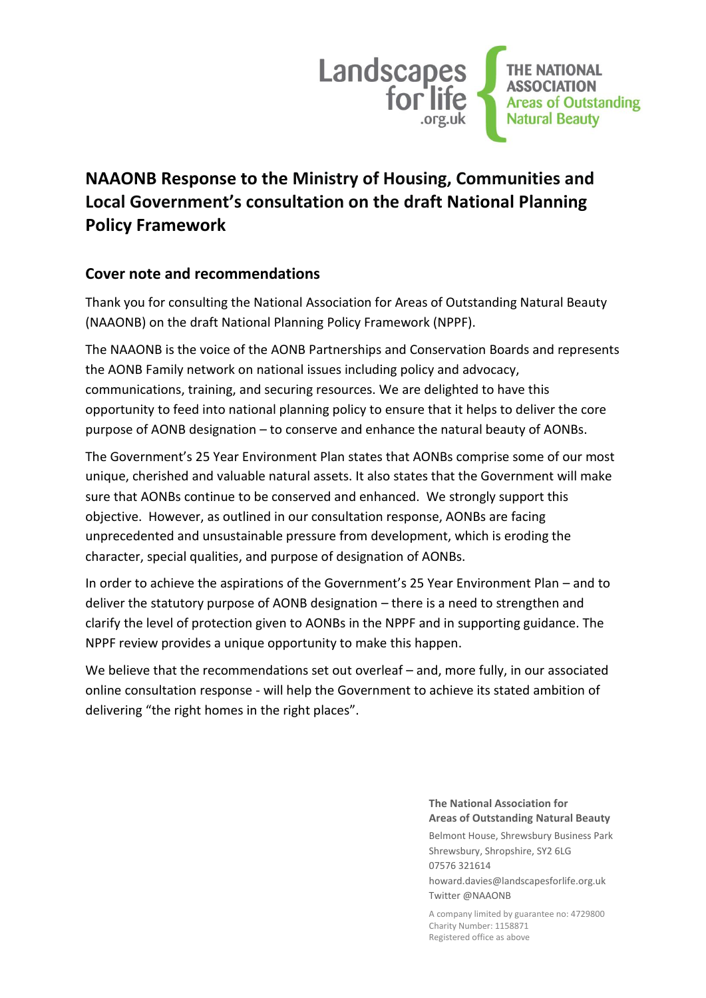

# **NAAONB Response to the Ministry of Housing, Communities and Local Government's consultation on the draft National Planning Policy Framework**

## **Cover note and recommendations**

Thank you for consulting the National Association for Areas of Outstanding Natural Beauty (NAAONB) on the draft National Planning Policy Framework (NPPF).

The NAAONB is the voice of the AONB Partnerships and Conservation Boards and represents the AONB Family network on national issues including policy and advocacy, communications, training, and securing resources. We are delighted to have this opportunity to feed into national planning policy to ensure that it helps to deliver the core purpose of AONB designation – to conserve and enhance the natural beauty of AONBs.

The Government's 25 Year Environment Plan states that AONBs comprise some of our most unique, cherished and valuable natural assets. It also states that the Government will make sure that AONBs continue to be conserved and enhanced. We strongly support this objective. However, as outlined in our consultation response, AONBs are facing unprecedented and unsustainable pressure from development, which is eroding the character, special qualities, and purpose of designation of AONBs.

In order to achieve the aspirations of the Government's 25 Year Environment Plan – and to deliver the statutory purpose of AONB designation – there is a need to strengthen and clarify the level of protection given to AONBs in the NPPF and in supporting guidance. The NPPF review provides a unique opportunity to make this happen.

We believe that the recommendations set out overleaf – and, more fully, in our associated online consultation response - will help the Government to achieve its stated ambition of delivering "the right homes in the right places".

> **The National Association for Areas of Outstanding Natural Beauty**

Belmont House, Shrewsbury Business Park Shrewsbury, Shropshire, SY2 6LG 07576 321614

howard.davies@landscapesforlife.org.uk Twitter @NAAONB

A company limited by guarantee no: 4729800 Charity Number: 1158871 Registered office as above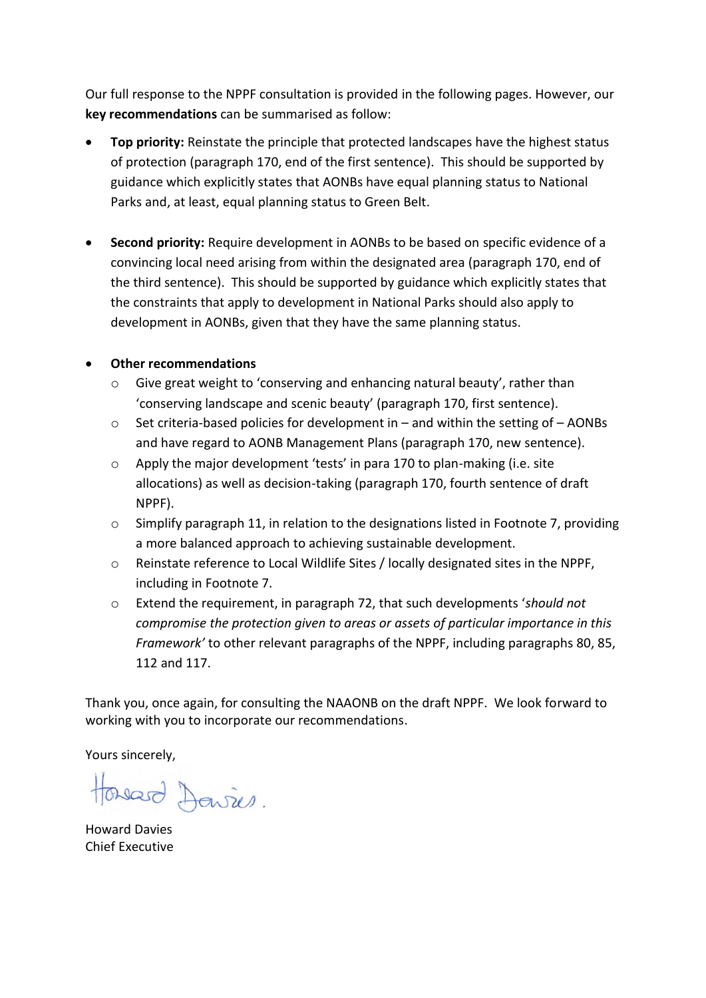Our full response to the NPPF consultation is provided in the following pages. However, our **key recommendations** can be summarised as follow:

- **Top priority:** Reinstate the principle that protected landscapes have the highest status of protection (paragraph 170, end of the first sentence). This should be supported by guidance which explicitly states that AONBs have equal planning status to National Parks and, at least, equal planning status to Green Belt.
- **Second priority:** Require development in AONBs to be based on specific evidence of a convincing local need arising from within the designated area (paragraph 170, end of the third sentence). This should be supported by guidance which explicitly states that the constraints that apply to development in National Parks should also apply to development in AONBs, given that they have the same planning status.

## • **Other recommendations**

- o Give great weight to 'conserving and enhancing natural beauty', rather than 'conserving landscape and scenic beauty' (paragraph 170, first sentence).
- $\circ$  Set criteria-based policies for development in and within the setting of AONBs and have regard to AONB Management Plans (paragraph 170, new sentence).
- o Apply the major development 'tests' in para 170 to plan-making (i.e. site allocations) as well as decision-taking (paragraph 170, fourth sentence of draft NPPF).
- $\circ$  Simplify paragraph 11, in relation to the designations listed in Footnote 7, providing a more balanced approach to achieving sustainable development.
- o Reinstate reference to Local Wildlife Sites / locally designated sites in the NPPF, including in Footnote 7.
- o Extend the requirement, in paragraph 72, that such developments '*should not compromise the protection given to areas or assets of particular importance in this Framework'* to other relevant paragraphs of the NPPF, including paragraphs 80, 85, 112 and 117.

Thank you, once again, for consulting the NAAONB on the draft NPPF. We look forward to working with you to incorporate our recommendations.

Yours sincerely,

Howard Davies.

Howard Davies Chief Executive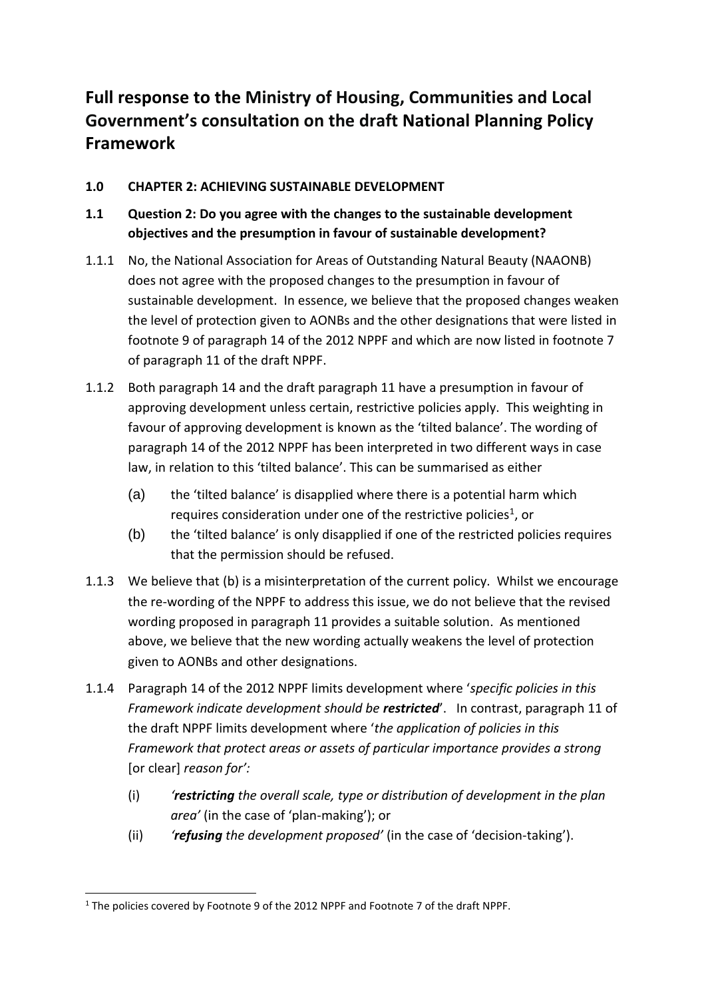# **Full response to the Ministry of Housing, Communities and Local Government's consultation on the draft National Planning Policy Framework**

## **1.0 CHAPTER 2: ACHIEVING SUSTAINABLE DEVELOPMENT**

- **1.1 Question 2: Do you agree with the changes to the sustainable development objectives and the presumption in favour of sustainable development?**
- 1.1.1 No, the National Association for Areas of Outstanding Natural Beauty (NAAONB) does not agree with the proposed changes to the presumption in favour of sustainable development. In essence, we believe that the proposed changes weaken the level of protection given to AONBs and the other designations that were listed in footnote 9 of paragraph 14 of the 2012 NPPF and which are now listed in footnote 7 of paragraph 11 of the draft NPPF.
- 1.1.2 Both paragraph 14 and the draft paragraph 11 have a presumption in favour of approving development unless certain, restrictive policies apply. This weighting in favour of approving development is known as the 'tilted balance'. The wording of paragraph 14 of the 2012 NPPF has been interpreted in two different ways in case law, in relation to this 'tilted balance'. This can be summarised as either
	- (a) the 'tilted balance' is disapplied where there is a potential harm which requires consideration under one of the restrictive policies<sup>1</sup>, or
	- (b) the 'tilted balance' is only disapplied if one of the restricted policies requires that the permission should be refused.
- 1.1.3 We believe that (b) is a misinterpretation of the current policy. Whilst we encourage the re-wording of the NPPF to address this issue, we do not believe that the revised wording proposed in paragraph 11 provides a suitable solution. As mentioned above, we believe that the new wording actually weakens the level of protection given to AONBs and other designations.
- 1.1.4 Paragraph 14 of the 2012 NPPF limits development where '*specific policies in this Framework indicate development should be restricted*'. In contrast, paragraph 11 of the draft NPPF limits development where '*the application of policies in this Framework that protect areas or assets of particular importance provides a strong*  [or clear] *reason for':*
	- (i) *'restricting the overall scale, type or distribution of development in the plan area'* (in the case of 'plan-making'); or
	- (ii) *'refusing the development proposed'* (in the case of 'decision-taking').

<sup>-</sup><sup>1</sup> The policies covered by Footnote 9 of the 2012 NPPF and Footnote 7 of the draft NPPF.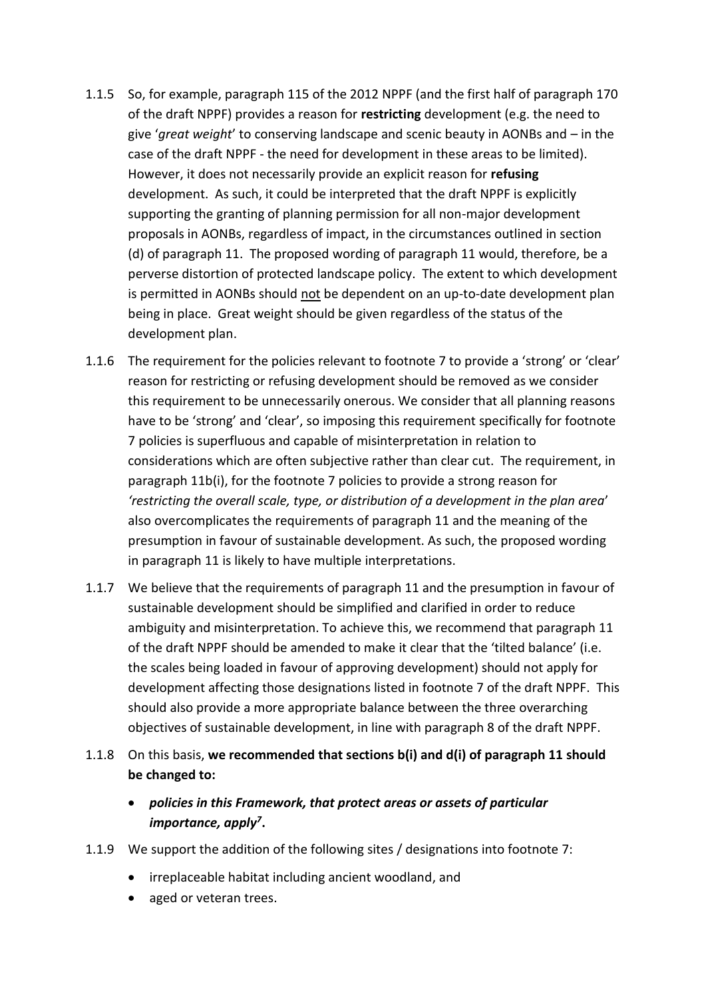- 1.1.5 So, for example, paragraph 115 of the 2012 NPPF (and the first half of paragraph 170 of the draft NPPF) provides a reason for **restricting** development (e.g. the need to give '*great weight*' to conserving landscape and scenic beauty in AONBs and – in the case of the draft NPPF - the need for development in these areas to be limited). However, it does not necessarily provide an explicit reason for **refusing**  development. As such, it could be interpreted that the draft NPPF is explicitly supporting the granting of planning permission for all non-major development proposals in AONBs, regardless of impact, in the circumstances outlined in section (d) of paragraph 11. The proposed wording of paragraph 11 would, therefore, be a perverse distortion of protected landscape policy. The extent to which development is permitted in AONBs should not be dependent on an up-to-date development plan being in place. Great weight should be given regardless of the status of the development plan.
- 1.1.6 The requirement for the policies relevant to footnote 7 to provide a 'strong' or 'clear' reason for restricting or refusing development should be removed as we consider this requirement to be unnecessarily onerous. We consider that all planning reasons have to be 'strong' and 'clear', so imposing this requirement specifically for footnote 7 policies is superfluous and capable of misinterpretation in relation to considerations which are often subjective rather than clear cut. The requirement, in paragraph 11b(i), for the footnote 7 policies to provide a strong reason for *'restricting the overall scale, type, or distribution of a development in the plan area*' also overcomplicates the requirements of paragraph 11 and the meaning of the presumption in favour of sustainable development. As such, the proposed wording in paragraph 11 is likely to have multiple interpretations.
- 1.1.7 We believe that the requirements of paragraph 11 and the presumption in favour of sustainable development should be simplified and clarified in order to reduce ambiguity and misinterpretation. To achieve this, we recommend that paragraph 11 of the draft NPPF should be amended to make it clear that the 'tilted balance' (i.e. the scales being loaded in favour of approving development) should not apply for development affecting those designations listed in footnote 7 of the draft NPPF. This should also provide a more appropriate balance between the three overarching objectives of sustainable development, in line with paragraph 8 of the draft NPPF.
- 1.1.8 On this basis, **we recommended that sections b(i) and d(i) of paragraph 11 should be changed to:**
	- *policies in this Framework, that protect areas or assets of particular importance, apply<sup>7</sup>* **.**
- 1.1.9 We support the addition of the following sites / designations into footnote 7:
	- irreplaceable habitat including ancient woodland, and
	- aged or veteran trees.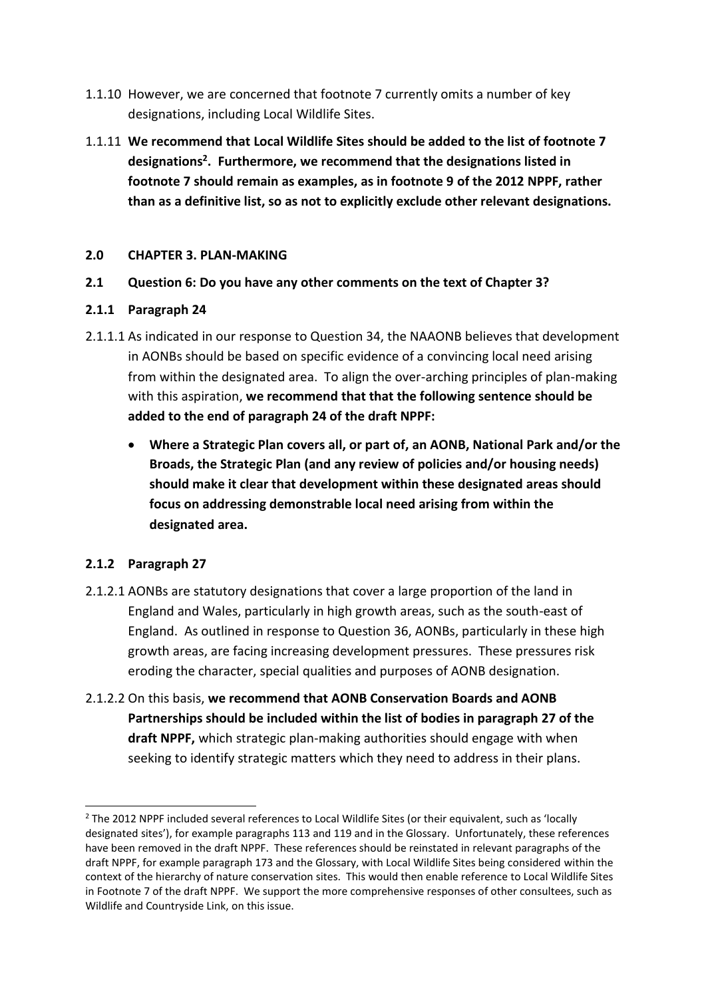- 1.1.10 However, we are concerned that footnote 7 currently omits a number of key designations, including Local Wildlife Sites.
- 1.1.11 **We recommend that Local Wildlife Sites should be added to the list of footnote 7 designations<sup>2</sup> . Furthermore, we recommend that the designations listed in footnote 7 should remain as examples, as in footnote 9 of the 2012 NPPF, rather than as a definitive list, so as not to explicitly exclude other relevant designations.**

#### **2.0 CHAPTER 3. PLAN-MAKING**

**2.1 Question 6: Do you have any other comments on the text of Chapter 3?**

#### **2.1.1 Paragraph 24**

- 2.1.1.1 As indicated in our response to Question 34, the NAAONB believes that development in AONBs should be based on specific evidence of a convincing local need arising from within the designated area. To align the over-arching principles of plan-making with this aspiration, **we recommend that that the following sentence should be added to the end of paragraph 24 of the draft NPPF:**
	- **Where a Strategic Plan covers all, or part of, an AONB, National Park and/or the Broads, the Strategic Plan (and any review of policies and/or housing needs) should make it clear that development within these designated areas should focus on addressing demonstrable local need arising from within the designated area.**

### **2.1.2 Paragraph 27**

1

- 2.1.2.1 AONBs are statutory designations that cover a large proportion of the land in England and Wales, particularly in high growth areas, such as the south-east of England. As outlined in response to Question 36, AONBs, particularly in these high growth areas, are facing increasing development pressures. These pressures risk eroding the character, special qualities and purposes of AONB designation.
- 2.1.2.2 On this basis, **we recommend that AONB Conservation Boards and AONB Partnerships should be included within the list of bodies in paragraph 27 of the draft NPPF,** which strategic plan-making authorities should engage with when seeking to identify strategic matters which they need to address in their plans.

<sup>&</sup>lt;sup>2</sup> The 2012 NPPF included several references to Local Wildlife Sites (or their equivalent, such as 'locally designated sites'), for example paragraphs 113 and 119 and in the Glossary. Unfortunately, these references have been removed in the draft NPPF. These references should be reinstated in relevant paragraphs of the draft NPPF, for example paragraph 173 and the Glossary, with Local Wildlife Sites being considered within the context of the hierarchy of nature conservation sites. This would then enable reference to Local Wildlife Sites in Footnote 7 of the draft NPPF. We support the more comprehensive responses of other consultees, such as Wildlife and Countryside Link, on this issue.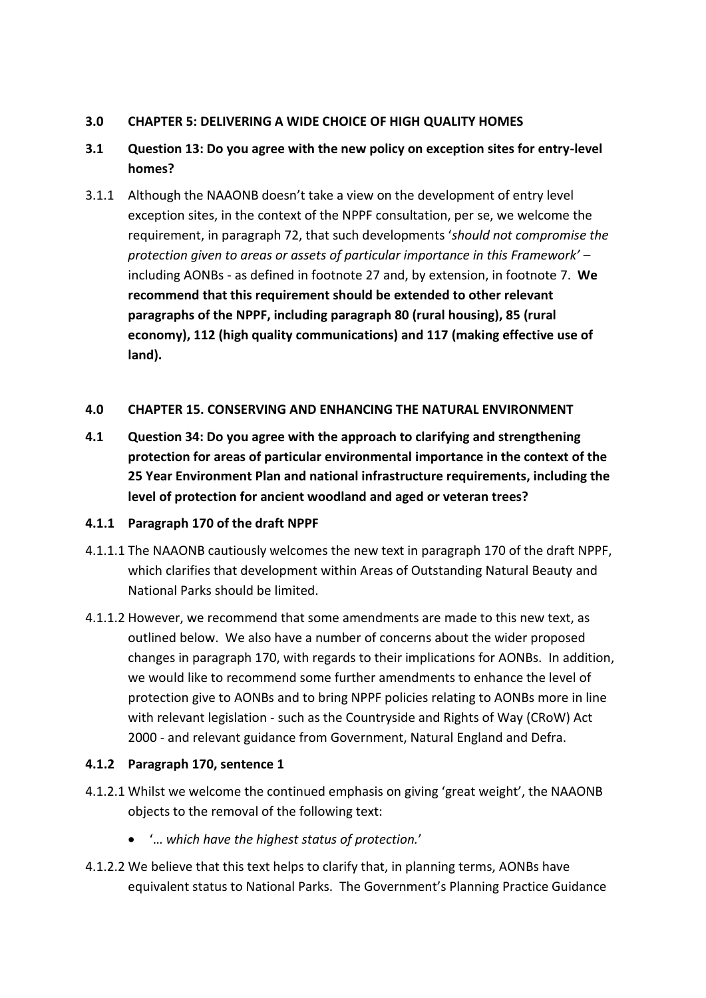## **3.0 CHAPTER 5: DELIVERING A WIDE CHOICE OF HIGH QUALITY HOMES**

# **3.1 Question 13: Do you agree with the new policy on exception sites for entry-level homes?**

3.1.1 Although the NAAONB doesn't take a view on the development of entry level exception sites, in the context of the NPPF consultation, per se, we welcome the requirement, in paragraph 72, that such developments '*should not compromise the protection given to areas or assets of particular importance in this Framework'* – including AONBs - as defined in footnote 27 and, by extension, in footnote 7. **We recommend that this requirement should be extended to other relevant paragraphs of the NPPF, including paragraph 80 (rural housing), 85 (rural economy), 112 (high quality communications) and 117 (making effective use of land).**

### **4.0 CHAPTER 15. CONSERVING AND ENHANCING THE NATURAL ENVIRONMENT**

**4.1 Question 34: Do you agree with the approach to clarifying and strengthening protection for areas of particular environmental importance in the context of the 25 Year Environment Plan and national infrastructure requirements, including the level of protection for ancient woodland and aged or veteran trees?**

## **4.1.1 Paragraph 170 of the draft NPPF**

- 4.1.1.1 The NAAONB cautiously welcomes the new text in paragraph 170 of the draft NPPF, which clarifies that development within Areas of Outstanding Natural Beauty and National Parks should be limited.
- 4.1.1.2 However, we recommend that some amendments are made to this new text, as outlined below. We also have a number of concerns about the wider proposed changes in paragraph 170, with regards to their implications for AONBs. In addition, we would like to recommend some further amendments to enhance the level of protection give to AONBs and to bring NPPF policies relating to AONBs more in line with relevant legislation - such as the Countryside and Rights of Way (CRoW) Act 2000 - and relevant guidance from Government, Natural England and Defra.

## **4.1.2 Paragraph 170, sentence 1**

- 4.1.2.1 Whilst we welcome the continued emphasis on giving 'great weight', the NAAONB objects to the removal of the following text:
	- '… *which have the highest status of protection.*'
- 4.1.2.2 We believe that this text helps to clarify that, in planning terms, AONBs have equivalent status to National Parks. The Government's Planning Practice Guidance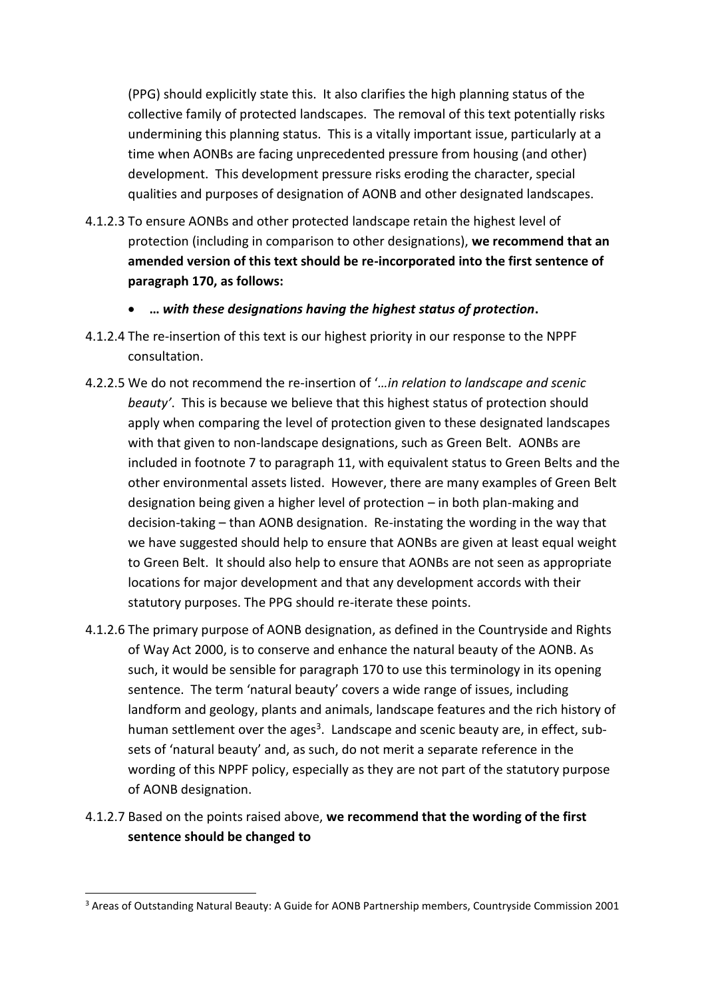(PPG) should explicitly state this. It also clarifies the high planning status of the collective family of protected landscapes. The removal of this text potentially risks undermining this planning status. This is a vitally important issue, particularly at a time when AONBs are facing unprecedented pressure from housing (and other) development. This development pressure risks eroding the character, special qualities and purposes of designation of AONB and other designated landscapes.

- 4.1.2.3 To ensure AONBs and other protected landscape retain the highest level of protection (including in comparison to other designations), **we recommend that an amended version of this text should be re-incorporated into the first sentence of paragraph 170, as follows:**
	- **…** *with these designations having the highest status of protection***.**
- 4.1.2.4 The re-insertion of this text is our highest priority in our response to the NPPF consultation.
- 4.2.2.5 We do not recommend the re-insertion of '*…in relation to landscape and scenic beauty'*. This is because we believe that this highest status of protection should apply when comparing the level of protection given to these designated landscapes with that given to non-landscape designations, such as Green Belt. AONBs are included in footnote 7 to paragraph 11, with equivalent status to Green Belts and the other environmental assets listed. However, there are many examples of Green Belt designation being given a higher level of protection – in both plan-making and decision-taking – than AONB designation. Re-instating the wording in the way that we have suggested should help to ensure that AONBs are given at least equal weight to Green Belt. It should also help to ensure that AONBs are not seen as appropriate locations for major development and that any development accords with their statutory purposes. The PPG should re-iterate these points.
- 4.1.2.6 The primary purpose of AONB designation, as defined in the Countryside and Rights of Way Act 2000, is to conserve and enhance the natural beauty of the AONB. As such, it would be sensible for paragraph 170 to use this terminology in its opening sentence. The term 'natural beauty' covers a wide range of issues, including landform and geology, plants and animals, landscape features and the rich history of human settlement over the ages<sup>3</sup>. Landscape and scenic beauty are, in effect, subsets of 'natural beauty' and, as such, do not merit a separate reference in the wording of this NPPF policy, especially as they are not part of the statutory purpose of AONB designation.
- 4.1.2.7 Based on the points raised above, **we recommend that the wording of the first sentence should be changed to**

-

<sup>&</sup>lt;sup>3</sup> Areas of Outstanding Natural Beauty: A Guide for AONB Partnership members, Countryside Commission 2001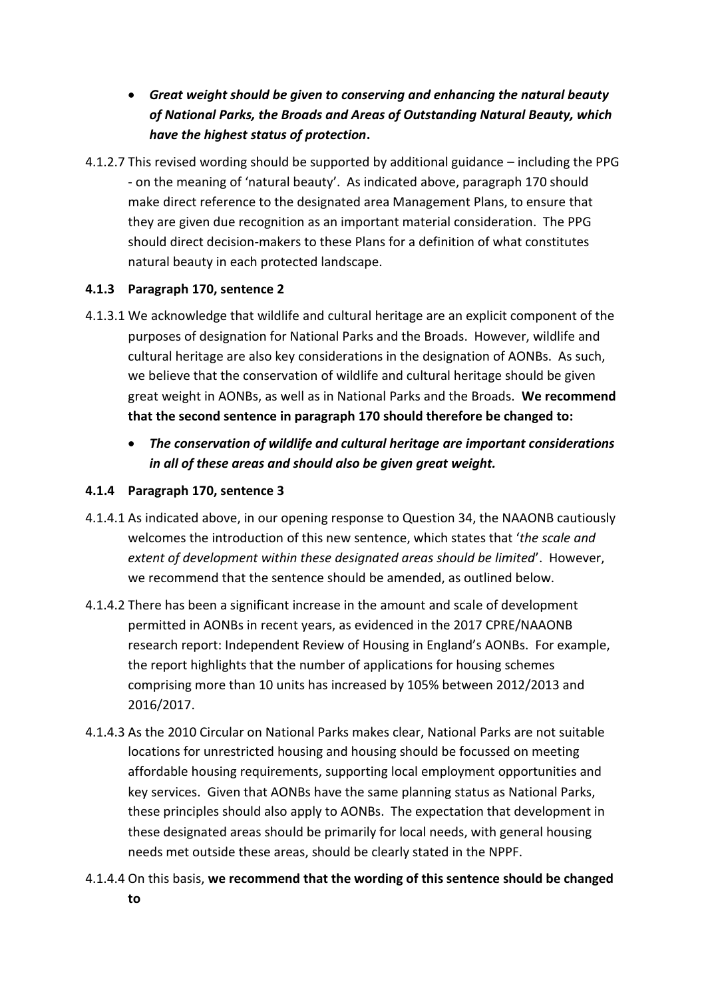- *Great weight should be given to conserving and enhancing the natural beauty of National Parks, the Broads and Areas of Outstanding Natural Beauty, which have the highest status of protection***.**
- 4.1.2.7 This revised wording should be supported by additional guidance including the PPG - on the meaning of 'natural beauty'. As indicated above, paragraph 170 should make direct reference to the designated area Management Plans, to ensure that they are given due recognition as an important material consideration. The PPG should direct decision-makers to these Plans for a definition of what constitutes natural beauty in each protected landscape.

## **4.1.3 Paragraph 170, sentence 2**

- 4.1.3.1 We acknowledge that wildlife and cultural heritage are an explicit component of the purposes of designation for National Parks and the Broads. However, wildlife and cultural heritage are also key considerations in the designation of AONBs. As such, we believe that the conservation of wildlife and cultural heritage should be given great weight in AONBs, as well as in National Parks and the Broads. **We recommend that the second sentence in paragraph 170 should therefore be changed to:**
	- *The conservation of wildlife and cultural heritage are important considerations in all of these areas and should also be given great weight.*

## **4.1.4 Paragraph 170, sentence 3**

- 4.1.4.1 As indicated above, in our opening response to Question 34, the NAAONB cautiously welcomes the introduction of this new sentence, which states that '*the scale and extent of development within these designated areas should be limited*'. However, we recommend that the sentence should be amended, as outlined below.
- 4.1.4.2 There has been a significant increase in the amount and scale of development permitted in AONBs in recent years, as evidenced in the 2017 CPRE/NAAONB research report: Independent Review of Housing in England's AONBs. For example, the report highlights that the number of applications for housing schemes comprising more than 10 units has increased by 105% between 2012/2013 and 2016/2017.
- 4.1.4.3 As the 2010 Circular on National Parks makes clear, National Parks are not suitable locations for unrestricted housing and housing should be focussed on meeting affordable housing requirements, supporting local employment opportunities and key services. Given that AONBs have the same planning status as National Parks, these principles should also apply to AONBs. The expectation that development in these designated areas should be primarily for local needs, with general housing needs met outside these areas, should be clearly stated in the NPPF.
- 4.1.4.4 On this basis, **we recommend that the wording of this sentence should be changed to**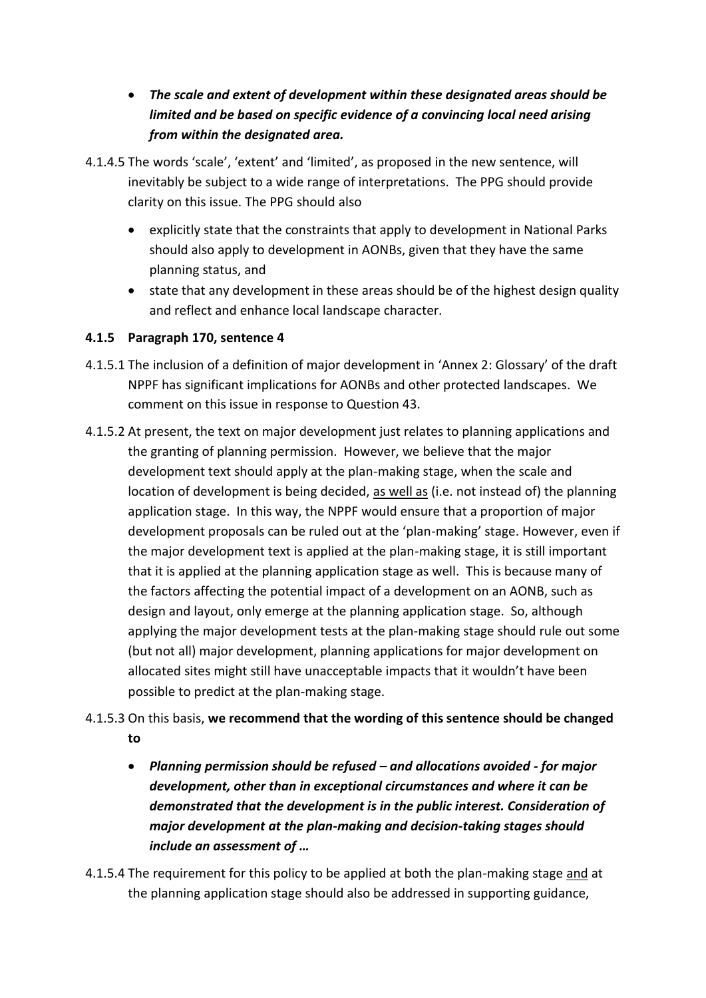- *The scale and extent of development within these designated areas should be limited and be based on specific evidence of a convincing local need arising from within the designated area.*
- 4.1.4.5 The words 'scale', 'extent' and 'limited', as proposed in the new sentence, will inevitably be subject to a wide range of interpretations. The PPG should provide clarity on this issue. The PPG should also
	- explicitly state that the constraints that apply to development in National Parks should also apply to development in AONBs, given that they have the same planning status, and
	- state that any development in these areas should be of the highest design quality and reflect and enhance local landscape character.

## **4.1.5 Paragraph 170, sentence 4**

- 4.1.5.1 The inclusion of a definition of major development in 'Annex 2: Glossary' of the draft NPPF has significant implications for AONBs and other protected landscapes. We comment on this issue in response to Question 43.
- 4.1.5.2 At present, the text on major development just relates to planning applications and the granting of planning permission. However, we believe that the major development text should apply at the plan-making stage, when the scale and location of development is being decided, as well as (i.e. not instead of) the planning application stage. In this way, the NPPF would ensure that a proportion of major development proposals can be ruled out at the 'plan-making' stage. However, even if the major development text is applied at the plan-making stage, it is still important that it is applied at the planning application stage as well. This is because many of the factors affecting the potential impact of a development on an AONB, such as design and layout, only emerge at the planning application stage. So, although applying the major development tests at the plan-making stage should rule out some (but not all) major development, planning applications for major development on allocated sites might still have unacceptable impacts that it wouldn't have been possible to predict at the plan-making stage.

# 4.1.5.3 On this basis, **we recommend that the wording of this sentence should be changed to**

- *Planning permission should be refused – and allocations avoided - for major development, other than in exceptional circumstances and where it can be demonstrated that the development is in the public interest. Consideration of major development at the plan-making and decision-taking stages should include an assessment of …*
- 4.1.5.4 The requirement for this policy to be applied at both the plan-making stage and at the planning application stage should also be addressed in supporting guidance,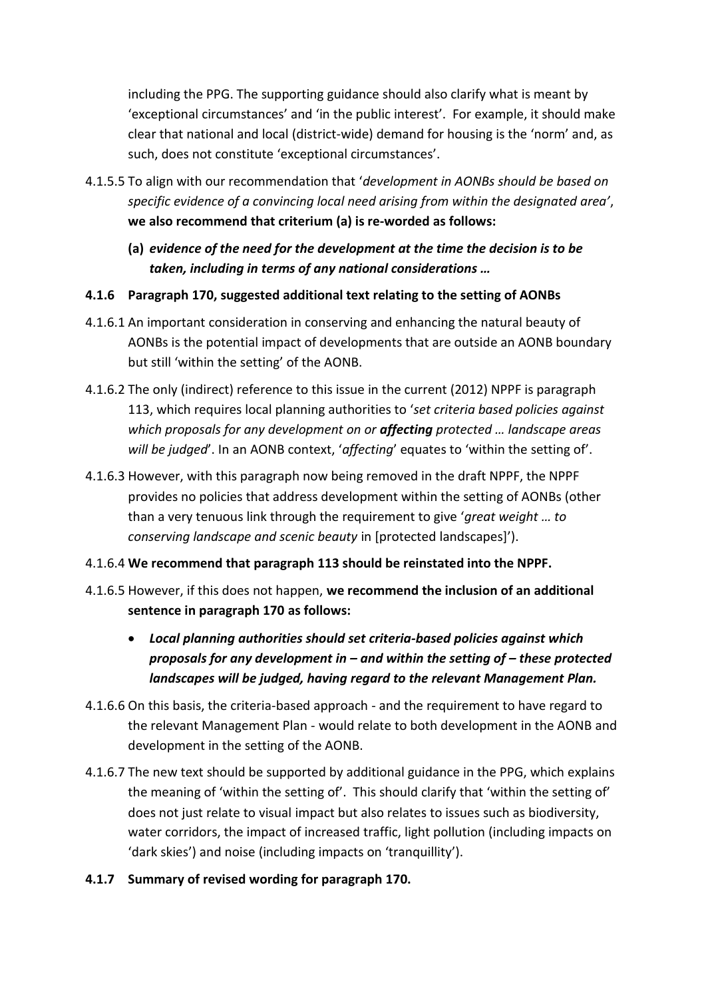including the PPG. The supporting guidance should also clarify what is meant by 'exceptional circumstances' and 'in the public interest'. For example, it should make clear that national and local (district-wide) demand for housing is the 'norm' and, as such, does not constitute 'exceptional circumstances'.

- 4.1.5.5 To align with our recommendation that '*development in AONBs should be based on specific evidence of a convincing local need arising from within the designated area'*, **we also recommend that criterium (a) is re-worded as follows:**
	- **(a)** *evidence of the need for the development at the time the decision is to be taken, including in terms of any national considerations …*
- **4.1.6 Paragraph 170, suggested additional text relating to the setting of AONBs**
- 4.1.6.1 An important consideration in conserving and enhancing the natural beauty of AONBs is the potential impact of developments that are outside an AONB boundary but still 'within the setting' of the AONB.
- 4.1.6.2 The only (indirect) reference to this issue in the current (2012) NPPF is paragraph 113, which requires local planning authorities to '*set criteria based policies against which proposals for any development on or affecting protected … landscape areas will be judged*'. In an AONB context, '*affecting*' equates to 'within the setting of'.
- 4.1.6.3 However, with this paragraph now being removed in the draft NPPF, the NPPF provides no policies that address development within the setting of AONBs (other than a very tenuous link through the requirement to give '*great weight … to conserving landscape and scenic beauty* in [protected landscapes]').
- 4.1.6.4 **We recommend that paragraph 113 should be reinstated into the NPPF.**
- 4.1.6.5 However, if this does not happen, **we recommend the inclusion of an additional sentence in paragraph 170 as follows:**
	- *Local planning authorities should set criteria-based policies against which proposals for any development in – and within the setting of – these protected landscapes will be judged, having regard to the relevant Management Plan.*
- 4.1.6.6 On this basis, the criteria-based approach and the requirement to have regard to the relevant Management Plan - would relate to both development in the AONB and development in the setting of the AONB.
- 4.1.6.7 The new text should be supported by additional guidance in the PPG, which explains the meaning of 'within the setting of'. This should clarify that 'within the setting of' does not just relate to visual impact but also relates to issues such as biodiversity, water corridors, the impact of increased traffic, light pollution (including impacts on 'dark skies') and noise (including impacts on 'tranquillity').
- **4.1.7 Summary of revised wording for paragraph 170.**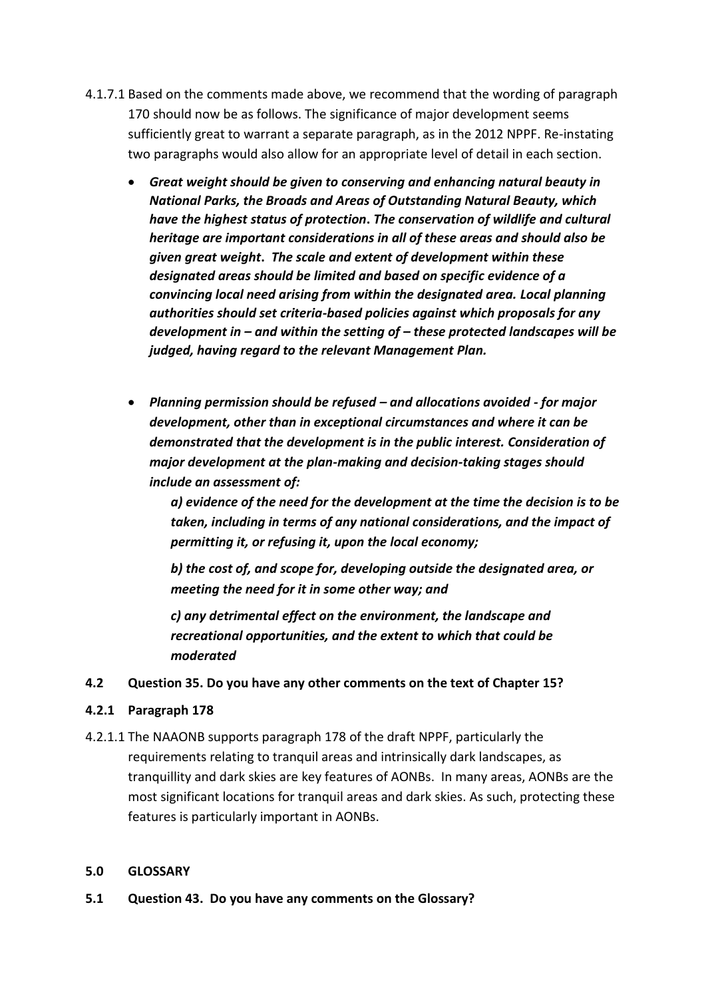- 4.1.7.1 Based on the comments made above, we recommend that the wording of paragraph 170 should now be as follows. The significance of major development seems sufficiently great to warrant a separate paragraph, as in the 2012 NPPF. Re-instating two paragraphs would also allow for an appropriate level of detail in each section.
	- *Great weight should be given to conserving and enhancing natural beauty in National Parks, the Broads and Areas of Outstanding Natural Beauty, which have the highest status of protection***.** *The conservation of wildlife and cultural heritage are important considerations in all of these areas and should also be given great weight***.** *The scale and extent of development within these designated areas should be limited and based on specific evidence of a convincing local need arising from within the designated area. Local planning authorities should set criteria-based policies against which proposals for any development in – and within the setting of – these protected landscapes will be judged, having regard to the relevant Management Plan.*
	- *Planning permission should be refused – and allocations avoided - for major development, other than in exceptional circumstances and where it can be demonstrated that the development is in the public interest. Consideration of major development at the plan-making and decision-taking stages should include an assessment of:*

*a) evidence of the need for the development at the time the decision is to be taken, including in terms of any national considerations, and the impact of permitting it, or refusing it, upon the local economy;* 

*b) the cost of, and scope for, developing outside the designated area, or meeting the need for it in some other way; and* 

*c) any detrimental effect on the environment, the landscape and recreational opportunities, and the extent to which that could be moderated*

### **4.2 Question 35. Do you have any other comments on the text of Chapter 15?**

### **4.2.1 Paragraph 178**

4.2.1.1 The NAAONB supports paragraph 178 of the draft NPPF, particularly the requirements relating to tranquil areas and intrinsically dark landscapes, as tranquillity and dark skies are key features of AONBs. In many areas, AONBs are the most significant locations for tranquil areas and dark skies. As such, protecting these features is particularly important in AONBs.

#### **5.0 GLOSSARY**

**5.1 Question 43. Do you have any comments on the Glossary?**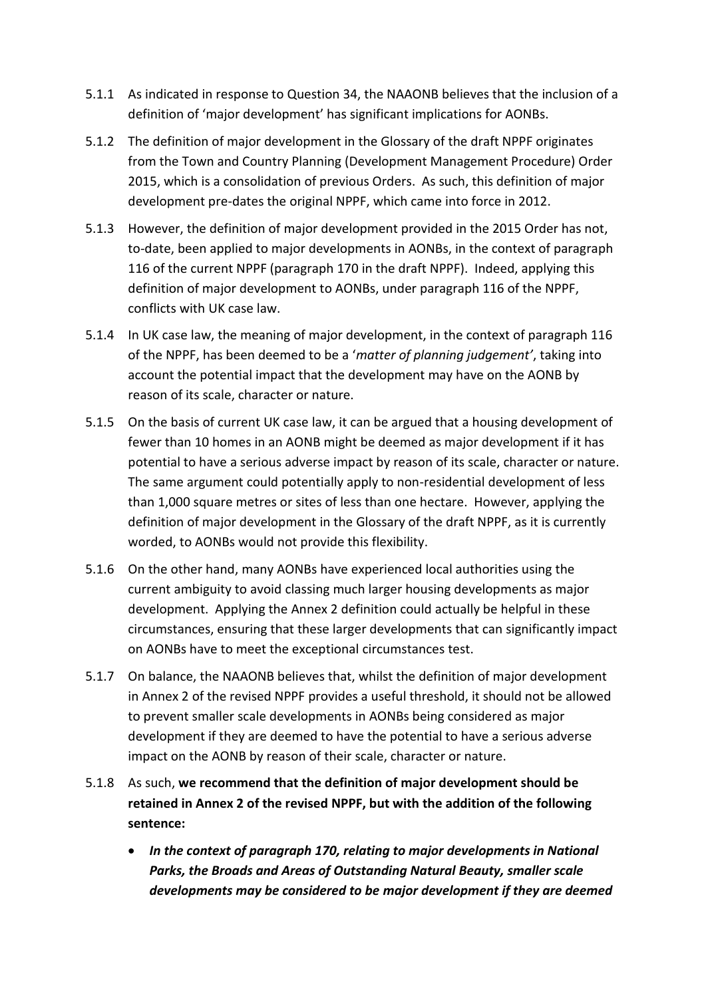- 5.1.1 As indicated in response to Question 34, the NAAONB believes that the inclusion of a definition of 'major development' has significant implications for AONBs.
- 5.1.2 The definition of major development in the Glossary of the draft NPPF originates from the Town and Country Planning (Development Management Procedure) Order 2015, which is a consolidation of previous Orders. As such, this definition of major development pre-dates the original NPPF, which came into force in 2012.
- 5.1.3 However, the definition of major development provided in the 2015 Order has not, to-date, been applied to major developments in AONBs, in the context of paragraph 116 of the current NPPF (paragraph 170 in the draft NPPF). Indeed, applying this definition of major development to AONBs, under paragraph 116 of the NPPF, conflicts with UK case law.
- 5.1.4 In UK case law, the meaning of major development, in the context of paragraph 116 of the NPPF, has been deemed to be a '*matter of planning judgement'*, taking into account the potential impact that the development may have on the AONB by reason of its scale, character or nature.
- 5.1.5 On the basis of current UK case law, it can be argued that a housing development of fewer than 10 homes in an AONB might be deemed as major development if it has potential to have a serious adverse impact by reason of its scale, character or nature. The same argument could potentially apply to non-residential development of less than 1,000 square metres or sites of less than one hectare. However, applying the definition of major development in the Glossary of the draft NPPF, as it is currently worded, to AONBs would not provide this flexibility.
- 5.1.6 On the other hand, many AONBs have experienced local authorities using the current ambiguity to avoid classing much larger housing developments as major development. Applying the Annex 2 definition could actually be helpful in these circumstances, ensuring that these larger developments that can significantly impact on AONBs have to meet the exceptional circumstances test.
- 5.1.7 On balance, the NAAONB believes that, whilst the definition of major development in Annex 2 of the revised NPPF provides a useful threshold, it should not be allowed to prevent smaller scale developments in AONBs being considered as major development if they are deemed to have the potential to have a serious adverse impact on the AONB by reason of their scale, character or nature.
- 5.1.8 As such, **we recommend that the definition of major development should be retained in Annex 2 of the revised NPPF, but with the addition of the following sentence:**
	- *In the context of paragraph 170, relating to major developments in National Parks, the Broads and Areas of Outstanding Natural Beauty, smaller scale developments may be considered to be major development if they are deemed*